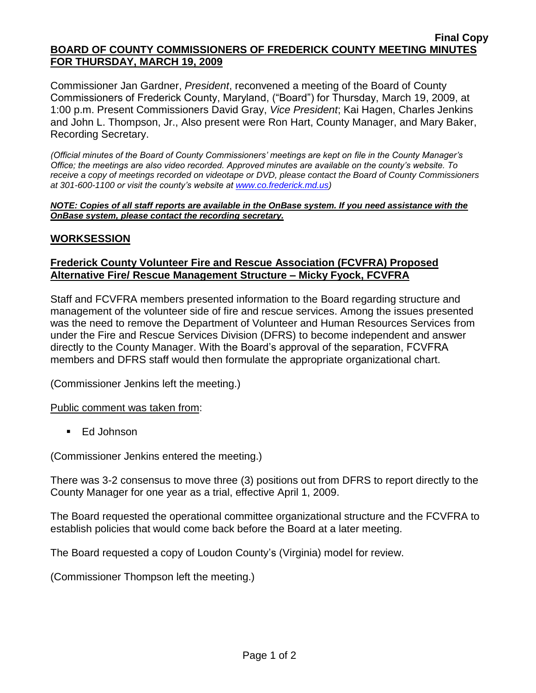#### **Final Copy BOARD OF COUNTY COMMISSIONERS OF FREDERICK COUNTY MEETING MINUTES FOR THURSDAY, MARCH 19, 2009**

Commissioner Jan Gardner, *President*, reconvened a meeting of the Board of County Commissioners of Frederick County, Maryland, ("Board") for Thursday, March 19, 2009, at 1:00 p.m. Present Commissioners David Gray, *Vice President*; Kai Hagen, Charles Jenkins and John L. Thompson, Jr., Also present were Ron Hart, County Manager, and Mary Baker, Recording Secretary.

*(Official minutes of the Board of County Commissioners' meetings are kept on file in the County Manager's Office; the meetings are also video recorded. Approved minutes are available on the county's website. To receive a copy of meetings recorded on videotape or DVD, please contact the Board of County Commissioners at 301-600-1100 or visit the county's website at [www.co.frederick.md.us\)](http://www.co.frederick.md.us/)*

*NOTE: Copies of all staff reports are available in the OnBase system. If you need assistance with the OnBase system, please contact the recording secretary.*

### **WORKSESSION**

### **Frederick County Volunteer Fire and Rescue Association (FCVFRA) Proposed Alternative Fire/ Rescue Management Structure – Micky Fyock, FCVFRA**

Staff and FCVFRA members presented information to the Board regarding structure and management of the volunteer side of fire and rescue services. Among the issues presented was the need to remove the Department of Volunteer and Human Resources Services from under the Fire and Rescue Services Division (DFRS) to become independent and answer directly to the County Manager. With the Board's approval of the separation, FCVFRA members and DFRS staff would then formulate the appropriate organizational chart.

(Commissioner Jenkins left the meeting.)

Public comment was taken from:

■ Ed Johnson

(Commissioner Jenkins entered the meeting.)

There was 3-2 consensus to move three (3) positions out from DFRS to report directly to the County Manager for one year as a trial, effective April 1, 2009.

The Board requested the operational committee organizational structure and the FCVFRA to establish policies that would come back before the Board at a later meeting.

The Board requested a copy of Loudon County's (Virginia) model for review.

(Commissioner Thompson left the meeting.)